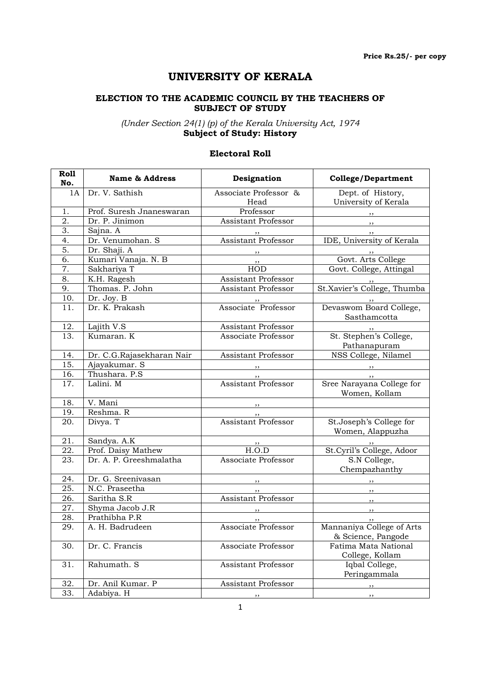# UNIVERSITY OF KERALA

### ELECTION TO THE ACADEMIC COUNCIL BY THE TEACHERS OF SUBJECT OF STUDY

(Under Section 24(1) (p) of the Kerala University Act, 1974 Subject of Study: History

### Electoral Roll

| Roll<br>No.       | <b>Name &amp; Address</b> | Designation                          | <b>College/Department</b>                                                                                                                                                                                                                                                                                                                                                                                                                                                  |
|-------------------|---------------------------|--------------------------------------|----------------------------------------------------------------------------------------------------------------------------------------------------------------------------------------------------------------------------------------------------------------------------------------------------------------------------------------------------------------------------------------------------------------------------------------------------------------------------|
| 1A                | Dr. V. Sathish            | Associate Professor &<br>Head        | Dept. of History,<br>University of Kerala                                                                                                                                                                                                                                                                                                                                                                                                                                  |
| 1.                | Prof. Suresh Jnaneswaran  | Professor                            |                                                                                                                                                                                                                                                                                                                                                                                                                                                                            |
| 2.                | Dr. P. Jinimon            | Assistant Professor                  | $, \, \,$                                                                                                                                                                                                                                                                                                                                                                                                                                                                  |
| 3.                | Sajna. A                  |                                      | , ,                                                                                                                                                                                                                                                                                                                                                                                                                                                                        |
| 4.                | Dr. Venumohan. S          | <b>Assistant Professor</b>           | IDE, University of Kerala                                                                                                                                                                                                                                                                                                                                                                                                                                                  |
| 5.                | Dr. Shaji. A              |                                      |                                                                                                                                                                                                                                                                                                                                                                                                                                                                            |
| 6.                | Kumari Vanaja. N. B       | , , ,                                | Govt. Arts College                                                                                                                                                                                                                                                                                                                                                                                                                                                         |
| 7.                | Sakhariya T               | <b>HOD</b>                           | Govt. College, Attingal                                                                                                                                                                                                                                                                                                                                                                                                                                                    |
| 8.                | K.H. Ragesh               | Assistant Professor                  |                                                                                                                                                                                                                                                                                                                                                                                                                                                                            |
| 9.                | Thomas. P. John           | Assistant Professor                  | St.Xavier's College, Thumba                                                                                                                                                                                                                                                                                                                                                                                                                                                |
| $\overline{10}$ . | Dr. Joy. B                |                                      |                                                                                                                                                                                                                                                                                                                                                                                                                                                                            |
| 11.               | Dr. K. Prakash            | " Subsection of the Second Professor | Devaswom Board College,<br>Sasthamcotta                                                                                                                                                                                                                                                                                                                                                                                                                                    |
| 12.               | Lajith V.S                | Assistant Professor                  |                                                                                                                                                                                                                                                                                                                                                                                                                                                                            |
| 13.               | Kumaran, K                | Associate Professor                  | St. Stephen's College,<br>Pathanapuram                                                                                                                                                                                                                                                                                                                                                                                                                                     |
| 14.               | Dr. C.G.Rajasekharan Nair | Assistant Professor                  | NSS College, Nilamel                                                                                                                                                                                                                                                                                                                                                                                                                                                       |
| 15.               | Ajayakumar. S             |                                      | $\overline{\phantom{a}}$ , $\overline{\phantom{a}}$ , $\overline{\phantom{a}}$ , $\overline{\phantom{a}}$ , $\overline{\phantom{a}}$ , $\overline{\phantom{a}}$ , $\overline{\phantom{a}}$ , $\overline{\phantom{a}}$ , $\overline{\phantom{a}}$ , $\overline{\phantom{a}}$ , $\overline{\phantom{a}}$ , $\overline{\phantom{a}}$ , $\overline{\phantom{a}}$ , $\overline{\phantom{a}}$ , $\overline{\phantom{a}}$ , $\overline{\phantom{a}}$ , $\overline{\phantom{a}}$ , |
| 16.               | Thushara. P.S             |                                      | $\overline{\phantom{a}}$                                                                                                                                                                                                                                                                                                                                                                                                                                                   |
| 17.               | Lalini. M                 | ,,<br>Assistant Professor            | Sree Narayana College for<br>Women, Kollam                                                                                                                                                                                                                                                                                                                                                                                                                                 |
| 18.               | V. Mani                   |                                      |                                                                                                                                                                                                                                                                                                                                                                                                                                                                            |
| 19.               | Reshma. R                 | $, \, \,$                            |                                                                                                                                                                                                                                                                                                                                                                                                                                                                            |
| 20.               | Divya. T                  | <b>Assistant Professor</b>           | St.Joseph's College for<br>Women, Alappuzha                                                                                                                                                                                                                                                                                                                                                                                                                                |
| 21.               | Sandya. A.K               |                                      |                                                                                                                                                                                                                                                                                                                                                                                                                                                                            |
| 22.               | Prof. Daisy Mathew        | $\frac{1}{\text{H.O.D}}$             | ,,<br>St.Cyril's College, Adoor                                                                                                                                                                                                                                                                                                                                                                                                                                            |
| 23.               | Dr. A. P. Greeshmalatha   | Associate Professor                  | S.N College,<br>Chempazhanthy                                                                                                                                                                                                                                                                                                                                                                                                                                              |
| 24.               | Dr. G. Sreenivasan        | $, \, \, \cdot$                      |                                                                                                                                                                                                                                                                                                                                                                                                                                                                            |
| 25.               | N.C. Praseetha            | ,,                                   | $\overline{\phantom{a}}$                                                                                                                                                                                                                                                                                                                                                                                                                                                   |
| 26.               | Saritha S.R               | <b>Assistant Professor</b>           | , ,                                                                                                                                                                                                                                                                                                                                                                                                                                                                        |
| 27.               | Shyma Jacob J.R           |                                      | $, \, \, \cdot$                                                                                                                                                                                                                                                                                                                                                                                                                                                            |
| 28.               | Prathibha P.R             |                                      |                                                                                                                                                                                                                                                                                                                                                                                                                                                                            |
| 29.               | A. H. Badrudeen           | Associate Professor                  | Mannaniya College of Arts<br>& Science, Pangode                                                                                                                                                                                                                                                                                                                                                                                                                            |
| 30.               | Dr. C. Francis            | Associate Professor                  | Fatima Mata National<br>College, Kollam                                                                                                                                                                                                                                                                                                                                                                                                                                    |
| 31.               | Rahumath. S               | Assistant Professor                  | Iqbal College,<br>Peringammala                                                                                                                                                                                                                                                                                                                                                                                                                                             |
| 32.               | Dr. Anil Kumar. P         | Assistant Professor                  | $\overline{\mathbf{r}}$                                                                                                                                                                                                                                                                                                                                                                                                                                                    |
| 33.               | Adabiya. H                | ,,                                   | ,,                                                                                                                                                                                                                                                                                                                                                                                                                                                                         |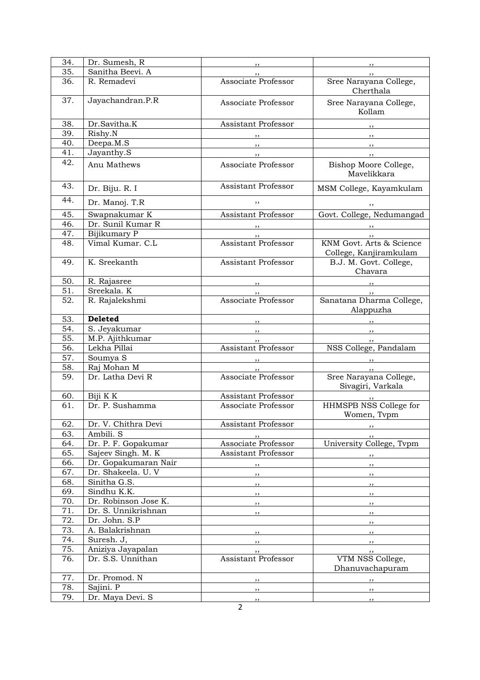| 34. | Dr. Sumesh, R        | ,,                                                  | ,,                                                 |
|-----|----------------------|-----------------------------------------------------|----------------------------------------------------|
| 35. | Sanitha Beevi. A     | ,,                                                  | , ,                                                |
| 36. | R. Remadevi          | Associate Professor                                 | Sree Narayana College,<br>Cherthala                |
| 37. | Jayachandran.P.R     | Associate Professor                                 | Sree Narayana College,<br>Kollam                   |
| 38. | Dr.Savitha.K         | Assistant Professor                                 | $\overline{\phantom{a}}$                           |
| 39. | Risky.N              |                                                     |                                                    |
| 40. | Deepa.M.S            |                                                     | $\overline{\phantom{a}}$                           |
| 41. | Jayanthy.S           | $\overline{\phantom{a}}$ , $\overline{\phantom{a}}$ | $\overline{\phantom{a}}$                           |
| 42. | Anu Mathews          | Associate Professor                                 | Bishop Moore College,<br>Mavelikkara               |
| 43. | Dr. Biju. R. I       | Assistant Professor                                 | MSM College, Kayamkulam                            |
| 44. | Dr. Manoj. T.R       | ,,                                                  | ,,                                                 |
| 45. | Swapnakumar K        | Assistant Professor                                 | Govt. College, Nedumangad                          |
| 46. | Dr. Sunil Kumar R    | $, \, \, \cdot$                                     |                                                    |
| 47. | Bijikumary P         | $\overline{\phantom{a}}$                            | $\frac{1}{2}$                                      |
| 48. | Vimal Kumar, C.L.    | Assistant Professor                                 | KNM Govt. Arts & Science<br>College, Kanjiramkulam |
| 49. | K. Sreekanth         | <b>Assistant Professor</b>                          | B.J. M. Govt. College,<br>Chavara                  |
| 50. | R. Rajasree          | $\overline{\phantom{a}}$                            | $\overline{\phantom{a}}$                           |
| 51. | Sreekala. K          | $\overline{\phantom{a}}$                            | $\sim$ $\sim$ $\sim$ $\sim$ $\sim$                 |
| 52. | R. Rajalekshmi       | Associate Professor                                 | Sanatana Dharma College,<br>Alappuzha              |
| 53. | <b>Deleted</b>       | , ,                                                 |                                                    |
| 54. | S. Jeyakumar         | $\overline{\phantom{a}}$                            | $\overline{\phantom{a}}$                           |
| 55. | M.P. Ajithkumar      | , ,                                                 |                                                    |
| 56. | Lekha Pillai         | Assistant Professor                                 | NSS College, Pandalam                              |
| 57. | Soumya <sub>S</sub>  |                                                     |                                                    |
| 58. | Raj Mohan M          | $, \, \,$                                           |                                                    |
| 59. | Dr. Latha Devi R     | Associate Professor                                 | Sree Narayana College,<br>Sivagiri, Varkala        |
| 60. | Biji K K             | Assistant Professor                                 |                                                    |
| 61. | Dr. P. Sushamma      | Associate Professor                                 | ""><br>HHMSPB NSS College for<br>Women, Tvpm       |
| 62. | Dr. V. Chithra Devi  | Assistant Professor                                 |                                                    |
| 63. | Ambili. S            | , ,                                                 |                                                    |
| 64. | Dr. P. F. Gopakumar  | Associate Professor                                 | University College, Tvpm                           |
| 65. | Sajeev Singh. M. K   | Assistant Professor                                 | ,,                                                 |
| 66. | Dr. Gopakumaran Nair | $, \, \, \cdot$                                     | $\overline{\phantom{a}}$                           |
| 67. | Dr. Shakeela. U. V   | $\overline{\phantom{a}}$                            | $\overline{\phantom{a}}$                           |
| 68. | Sinitha G.S.         | $, \, \,$                                           | $\overline{\phantom{a}}$                           |
| 69. | Sindhu K.K.          | $\overline{\phantom{a}}$                            |                                                    |
| 70. | Dr. Robinson Jose K. |                                                     | $\overline{\phantom{a}}$                           |
| 71. | Dr. S. Unnikrishnan  | $\overline{\phantom{a}}$                            | $\overline{\phantom{a}}$                           |
| 72. | Dr. John. S.P        | $\overline{\phantom{a}}$                            | $\overline{\phantom{a}}$                           |
| 73. | A. Balakrishnan      |                                                     |                                                    |
| 74. | Suresh. J,           | $\overline{\phantom{a}}$                            | $\overline{\phantom{a}}$                           |
| 75. | Aniziya Jayapalan    | $\overline{\phantom{a}}$                            | $\overline{\phantom{a}}$                           |
| 76. | Dr. S.S. Unnithan    | $, \, , \,$<br>Assistant Professor                  | $, \, , \,$<br>VTM NSS College,                    |
|     |                      |                                                     | Dhanuvachapuram                                    |
| 77. | Dr. Promod. N        | $, \, \,$                                           | $\overline{\phantom{a}}$                           |
| 78. | Sajini. P            | $\overline{\phantom{a}}$                            | $, \, \,$                                          |
| 79. | Dr. Maya Devi. S     | , ,                                                 | , ,                                                |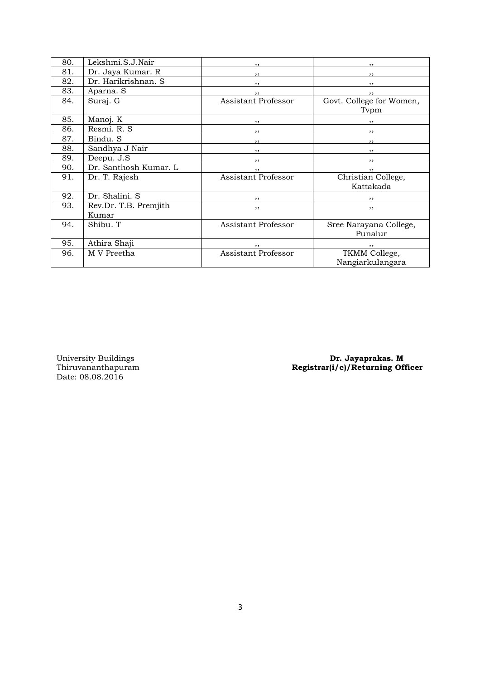| 80. | Lekshmi.S.J.Nair      | ,,                         | ,,                       |
|-----|-----------------------|----------------------------|--------------------------|
| 81. | Dr. Jaya Kumar. R     | ,,                         | , ,                      |
| 82. | Dr. Harikrishnan. S   | $, \,$                     | $, \, \, \cdot$          |
| 83. | Aparna. S             | $, \,$                     | , ,                      |
| 84. | Suraj. G              | <b>Assistant Professor</b> | Govt. College for Women, |
|     |                       |                            | Tvpm                     |
| 85. | Manoj. K              | $, \,$                     | $, \,$                   |
| 86. | Resmi. R. S           | $\frac{1}{2}$              | $\overline{\phantom{a}}$ |
| 87. | Bindu. S              | , ,                        | , ,                      |
| 88. | Sandhya J Nair        | $, \,$                     | $, \, \, \cdot$          |
| 89. | Deepu. J.S            | , ,                        | , ,                      |
| 90. | Dr. Santhosh Kumar. L | $, \, \,$                  | $, \, \,$                |
| 91. | Dr. T. Rajesh         | <b>Assistant Professor</b> | Christian College,       |
|     |                       |                            | Kattakada                |
| 92. | Dr. Shalini. S        | , ,                        |                          |
| 93. | Rev.Dr. T.B. Premjith | , ,                        | , ,                      |
|     | Kumar                 |                            |                          |
| 94. | Shibu. T              | Assistant Professor        | Sree Narayana College,   |
|     |                       |                            | Punalur                  |
| 95. | Athira Shaji          | , ,                        | ,,                       |
| 96. | M V Preetha           | <b>Assistant Professor</b> | TKMM College,            |
|     |                       |                            | Nangiarkulangara         |

University Buildings<br>Thiruvananthapuram<br>Date: 08.08.2016

University Buildings **Dr. Jayaprakas. M** Thiruvananthapuram Registrar(i/c)/Returning Officer